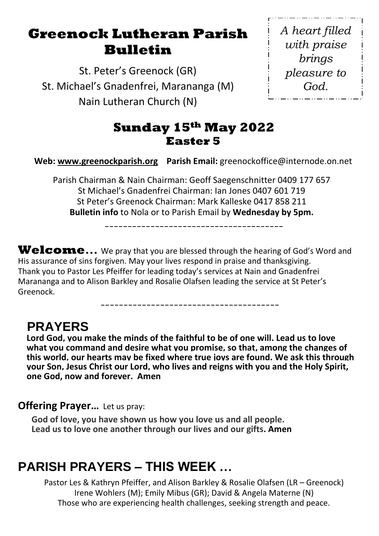## **Greenock Lutheran Parish Bulletin**

St. Peter's Greenock (GR) St. Michael's Gnadenfrei, Marananga (M) Nain Lutheran Church (N)

*A heart filled with praise brings pleasure to God.*

### **Sunday 15th May 2022 Easter 5**

**Web: [www.greenockparish.org](http://www.greenockparish.org/) Parish Email:** greenockoffice@internode.on.net

Parish Chairman & Nain Chairman: Geoff Saegenschnitter 0409 177 657 St Michael's Gnadenfrei Chairman: Ian Jones 0407 601 719 St Peter's Greenock Chairman: Mark Kalleske 0417 858 211 **Bulletin info** to Nola or to Parish Email by **Wednesday by 5pm.**

---------------------------------------

---------------------------------------

**Welcome…** We pray that you are blessed through the hearing of God's Word and His assurance of sins forgiven. May your lives respond in praise and thanksgiving. Thank you to Pastor Les Pfeiffer for leading today's services at Nain and Gnadenfrei Marananga and to Alison Barkley and Rosalie Olafsen leading the service at St Peter's Greenock.

## **PRAYERS**

**Lord God, you make the minds of the faithful to be of one will. Lead us to love what you command and desire what you promise, so that, among the changes of this world, our hearts may be fixed where true joys are found. We ask this through your Son, Jesus Christ our Lord, who lives and reigns with you and the Holy Spirit, one God, now and forever. Amen**

#### **Offering Prayer...** Let us pray:

**God of love, you have shown us how you love us and all people. Lead us to love one another through our lives and our gifts. Amen**

## **PARISH PRAYERS – THIS WEEK …**

Pastor Les & Kathryn Pfeiffer, and Alison Barkley & Rosalie Olafsen (LR – Greenock) Irene Wohlers (M); Emily Mibus (GR); David & Angela Materne (N) Those who are experiencing health challenges, seeking strength and peace.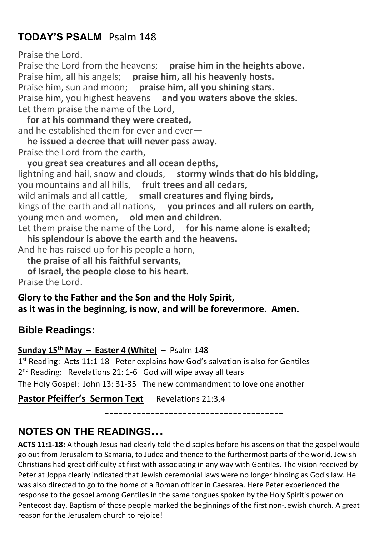### **TODAY'S PSALM** Psalm 148

Praise the Lord.

Praise the Lord from the heavens; praise him in the heights above. Praise him, all his angels; **praise him, all his heavenly hosts.** Praise him, sun and moon; **praise him, all you shining stars.** Praise him, you highest heavens **and you waters above the skies.** Let them praise the name of the Lord,

 **for at his command they were created,** and he established them for ever and ever—

 **he issued a decree that will never pass away.** Praise the Lord from the earth,

 **you great sea creatures and all ocean depths,** lightning and hail, snow and clouds, **stormy winds that do his bidding,** you mountains and all hills, **fruit trees and all cedars,** wild animals and all cattle, **small creatures and flying birds,** kings of the earth and all nations, **you princes and all rulers on earth,** young men and women, **old men and children.**

Let them praise the name of the Lord, **for his name alone is exalted; his splendour is above the earth and the heavens.**

And he has raised up for his people a horn,

 **the praise of all his faithful servants,**

 **of Israel, the people close to his heart.**

Praise the Lord.

**Glory to the Father and the Son and the Holy Spirit, as it was in the beginning, is now, and will be forevermore. Amen.**

### **Bible Readings:**

#### **Sunday 15th May – Easter 4 (White) –** Psalm 148

1<sup>st</sup> Reading: Acts 11:1-18 Peter explains how God's salvation is also for Gentiles 2<sup>nd</sup> Reading: Revelations 21: 1-6 God will wipe away all tears The Holy Gospel: John 13: 31-35 The new commandment to love one another

**Pastor Pfeiffer's Sermon Text** Revelations 21:3,4

---------------------------------------

## **NOTES ON THE READINGS…**

**ACTS 11:1-18:** Although Jesus had clearly told the disciples before his ascension that the gospel would go out from Jerusalem to Samaria, to Judea and thence to the furthermost parts of the world, Jewish Christians had great difficulty at first with associating in any way with Gentiles. The vision received by Peter at Joppa clearly indicated that Jewish ceremonial laws were no longer binding as God's law. He was also directed to go to the home of a Roman officer in Caesarea. Here Peter experienced the response to the gospel among Gentiles in the same tongues spoken by the Holy Spirit's power on Pentecost day. Baptism of those people marked the beginnings of the first non-Jewish church. A great reason for the Jerusalem church to rejoice!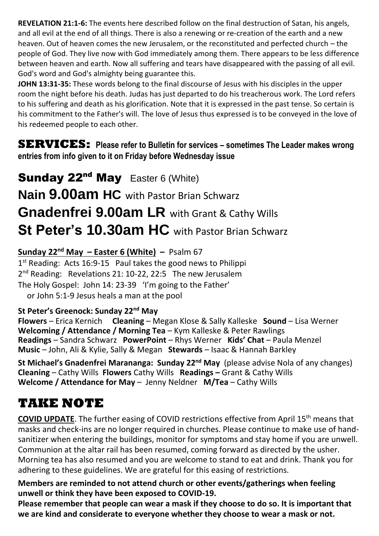**REVELATION 21:1-6:** The events here described follow on the final destruction of Satan, his angels, and all evil at the end of all things. There is also a renewing or re-creation of the earth and a new heaven. Out of heaven comes the new Jerusalem, or the reconstituted and perfected church – the people of God. They live now with God immediately among them. There appears to be less difference between heaven and earth. Now all suffering and tears have disappeared with the passing of all evil. God's word and God's almighty being guarantee this.

**JOHN 13:31-35:** These words belong to the final discourse of Jesus with his disciples in the upper room the night before his death. Judas has just departed to do his treacherous work. The Lord refers to his suffering and death as his glorification. Note that it is expressed in the past tense. So certain is his commitment to the Father's will. The love of Jesus thus expressed is to be conveyed in the love of his redeemed people to each other.

**SERVICES:** Please refer to Bulletin for services – sometimes The Leader makes wrong **entries from info given to it on Friday before Wednesday issue**

Sunday 22<sup>nd</sup> May Easter 6 (White) **Nain 9.00am HC** with Pastor Brian Schwarz **Gnadenfrei 9.00am LR** with Grant & Cathy Wills **St Peter's 10.30am HC** with Pastor Brian Schwarz

#### **Sunday 22nd May – Easter 6 (White) –** Psalm 67

1<sup>st</sup> Reading: Acts 16:9-15 Paul takes the good news to Philippi 2<sup>nd</sup> Reading: Revelations 21: 10-22, 22:5 The new Jerusalem The Holy Gospel: John 14: 23-39 'I'm going to the Father' or John 5:1-9 Jesus heals a man at the pool

#### **St Peter's Greenock: Sunday 22nd May**

**Flowers** – Erica Kernich **Cleaning** – Megan Klose & Sally Kalleske **Sound** – Lisa Werner **Welcoming / Attendance / Morning Tea** – Kym Kalleske & Peter Rawlings **Readings** – Sandra Schwarz **PowerPoint** – Rhys Werner **Kids' Chat** – Paula Menzel **Music** – John, Ali & Kylie, Sally & Megan **Stewards** – Isaac & Hannah Barkley

**St Michael's Gnadenfrei Marananga: Sunday 22nd May** (please advise Nola of any changes) **Cleaning** – Cathy Wills **Flowers** Cathy Wills **Readings –** Grant & Cathy Wills **Welcome / Attendance for May** – Jenny Neldner **M/Tea** – Cathy Wills

# **TAKE NOTE**

**COVID UPDATE**. The further easing of COVID restrictions effective from April 15<sup>th</sup> means that masks and check-ins are no longer required in churches. Please continue to make use of handsanitizer when entering the buildings, monitor for symptoms and stay home if you are unwell. Communion at the altar rail has been resumed, coming forward as directed by the usher. Morning tea has also resumed and you are welcome to stand to eat and drink. Thank you for adhering to these guidelines. We are grateful for this easing of restrictions.

**Members are reminded to not attend church or other events/gatherings when feeling unwell or think they have been exposed to COVID-19.**

**Please remember that people can wear a mask if they choose to do so. It is important that we are kind and considerate to everyone whether they choose to wear a mask or not.**